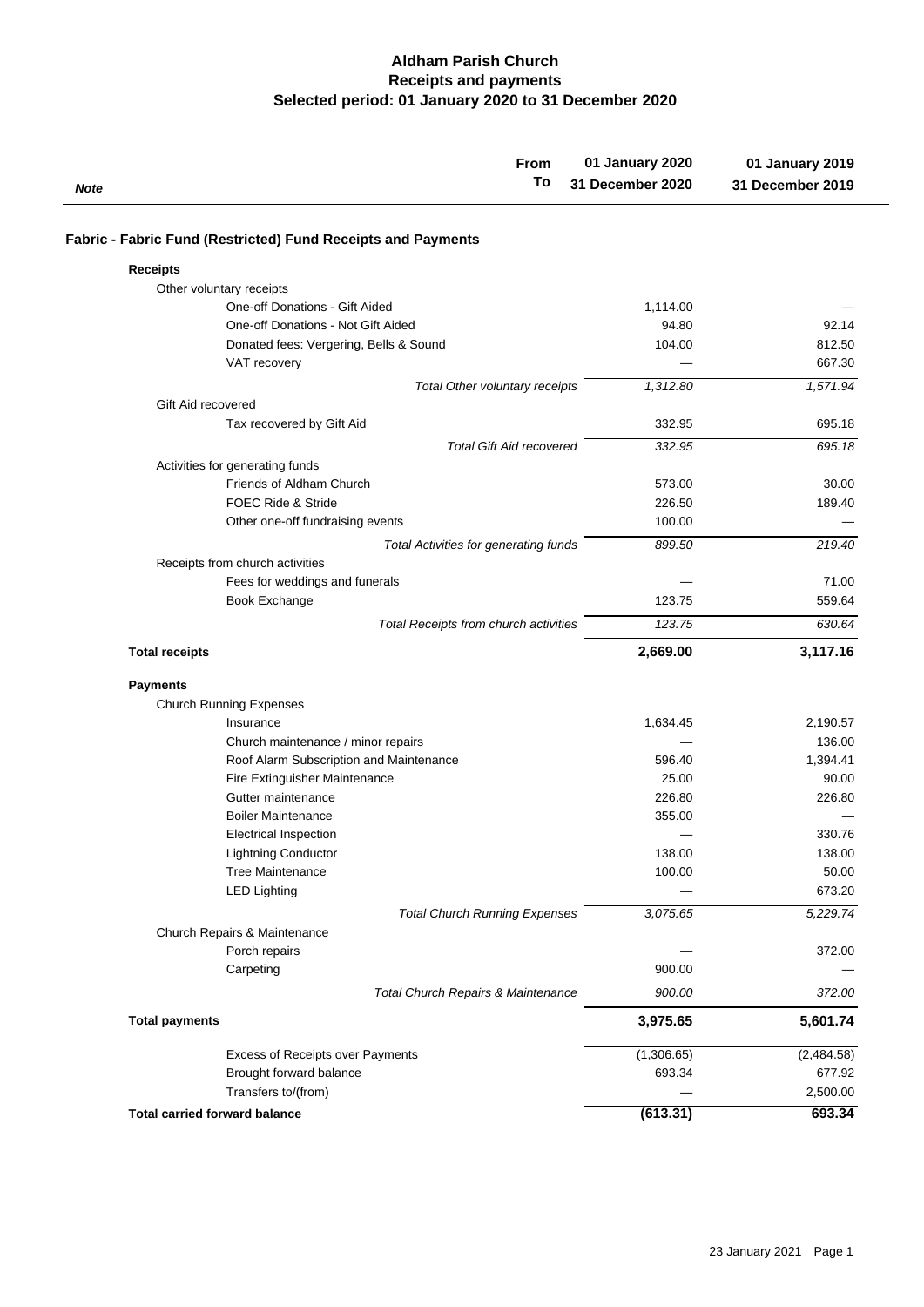## **Selected period: 01 January 2020 to 31 December 2020 Receipts and payments Aldham Parish Church**

| From                                                         | 01 January 2020  | 01 January 2019  |
|--------------------------------------------------------------|------------------|------------------|
| To<br>Note                                                   | 31 December 2020 | 31 December 2019 |
| Fabric - Fabric Fund (Restricted) Fund Receipts and Payments |                  |                  |
| <b>Receipts</b>                                              |                  |                  |
| Other voluntary receipts                                     |                  |                  |
| One-off Donations - Gift Aided                               | 1,114.00         |                  |
| One-off Donations - Not Gift Aided                           | 94.80            | 92.14            |
| Donated fees: Vergering, Bells & Sound                       | 104.00           | 812.50           |
| VAT recovery                                                 |                  | 667.30           |
| Total Other voluntary receipts                               | 1,312.80         | 1,571.94         |
| Gift Aid recovered                                           |                  |                  |
| Tax recovered by Gift Aid                                    | 332.95           | 695.18           |
| <b>Total Gift Aid recovered</b>                              | 332.95           | 695.18           |
| Activities for generating funds                              |                  |                  |
| Friends of Aldham Church                                     | 573.00           | 30.00            |
| <b>FOEC Ride &amp; Stride</b>                                | 226.50           | 189.40           |
| Other one-off fundraising events                             | 100.00           |                  |
| <b>Total Activities for generating funds</b>                 | 899.50           | 219.40           |
| Receipts from church activities                              |                  |                  |
| Fees for weddings and funerals                               |                  | 71.00            |
| Book Exchange                                                | 123.75           | 559.64           |
| Total Receipts from church activities                        | 123.75           | 630.64           |
| <b>Total receipts</b>                                        | 2,669.00         | 3,117.16         |
| <b>Payments</b>                                              |                  |                  |
| <b>Church Running Expenses</b>                               |                  |                  |
| Insurance                                                    | 1,634.45         | 2,190.57         |
| Church maintenance / minor repairs                           |                  | 136.00           |
| Roof Alarm Subscription and Maintenance                      | 596.40           | 1,394.41         |
| Fire Extinguisher Maintenance                                | 25.00            | 90.00            |
| Gutter maintenance                                           | 226.80           | 226.80           |
| <b>Boiler Maintenance</b>                                    | 355.00           |                  |
| <b>Electrical Inspection</b>                                 |                  | 330.76           |
| Lightning Conductor                                          | 138.00           | 138.00           |
| <b>Tree Maintenance</b>                                      | 100.00           | 50.00            |
| <b>LED Lighting</b>                                          |                  | 673.20           |
| <b>Total Church Running Expenses</b>                         | 3,075.65         | 5,229.74         |
| Church Repairs & Maintenance                                 |                  |                  |
| Porch repairs                                                |                  | 372.00           |
| Carpeting                                                    | 900.00           |                  |
| Total Church Repairs & Maintenance                           | 900.00           | 372.00           |
| <b>Total payments</b>                                        | 3,975.65         | 5,601.74         |
| Excess of Receipts over Payments                             | (1,306.65)       | (2,484.58)       |
| Brought forward balance                                      | 693.34           | 677.92           |
| Transfers to/(from)                                          |                  | 2,500.00         |
| <b>Total carried forward balance</b>                         | (613.31)         | 693.34           |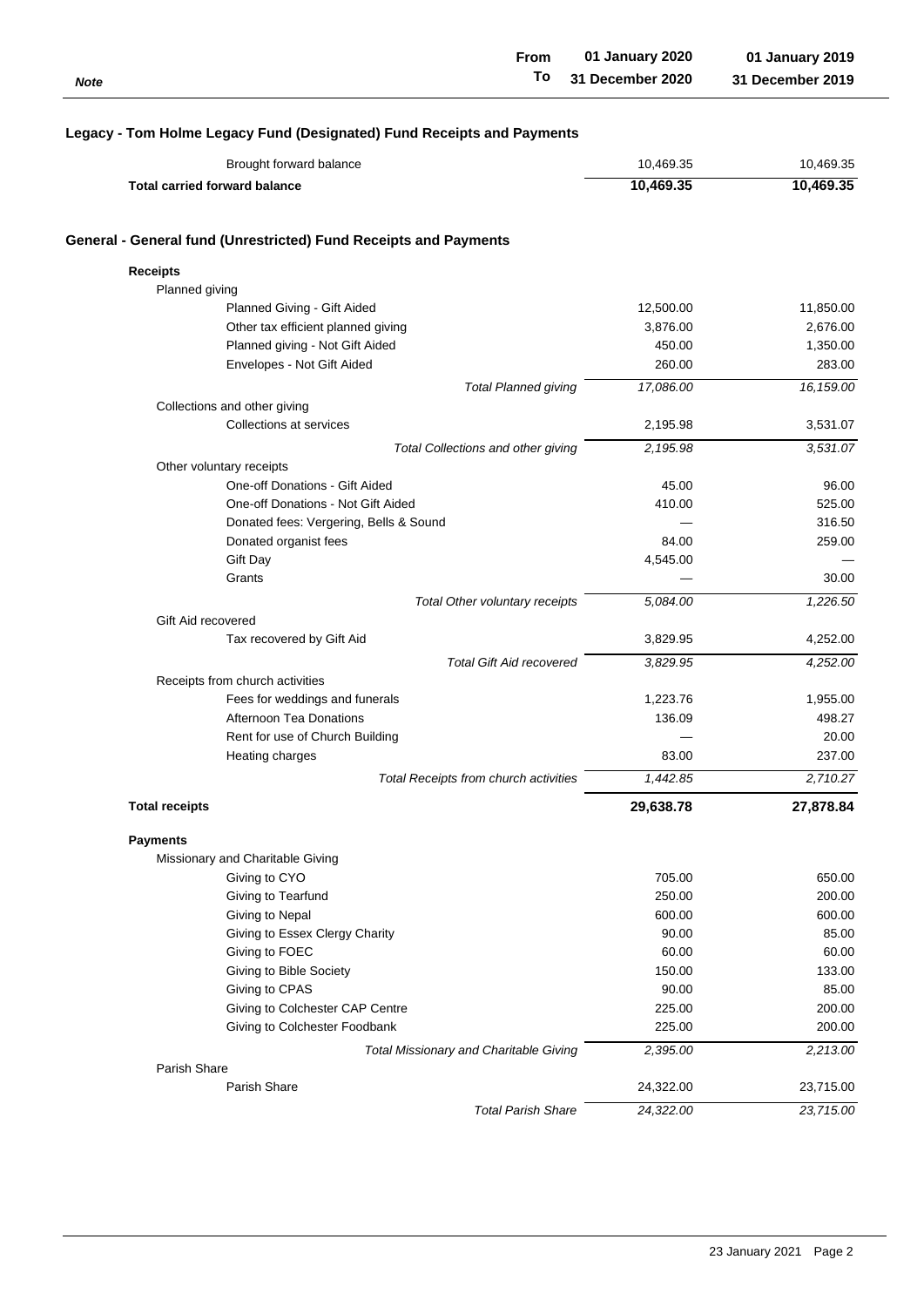| Note                                                                   | <b>From</b><br>To                            | 01 January 2020<br>31 December 2020 | 01 January 2019<br>31 December 2019 |
|------------------------------------------------------------------------|----------------------------------------------|-------------------------------------|-------------------------------------|
| Legacy - Tom Holme Legacy Fund (Designated) Fund Receipts and Payments |                                              |                                     |                                     |
| Brought forward balance                                                |                                              | 10,469.35                           | 10,469.35                           |
| <b>Total carried forward balance</b>                                   |                                              | 10,469.35                           | 10,469.35                           |
| General - General fund (Unrestricted) Fund Receipts and Payments       |                                              |                                     |                                     |
| <b>Receipts</b>                                                        |                                              |                                     |                                     |
| Planned giving                                                         |                                              |                                     |                                     |
| Planned Giving - Gift Aided                                            |                                              | 12,500.00                           | 11,850.00                           |
| Other tax efficient planned giving                                     |                                              | 3,876.00                            | 2,676.00                            |
| Planned giving - Not Gift Aided                                        |                                              | 450.00                              | 1,350.00                            |
| Envelopes - Not Gift Aided                                             |                                              | 260.00                              | 283.00                              |
|                                                                        | <b>Total Planned giving</b>                  | 17,086.00                           | 16, 159.00                          |
| Collections and other giving                                           |                                              |                                     |                                     |
| Collections at services                                                |                                              | 2,195.98                            | 3,531.07                            |
|                                                                        | Total Collections and other giving           | 2,195.98                            | 3,531.07                            |
| Other voluntary receipts                                               |                                              |                                     |                                     |
| One-off Donations - Gift Aided                                         |                                              | 45.00                               | 96.00                               |
| One-off Donations - Not Gift Aided                                     |                                              | 410.00                              | 525.00                              |
| Donated fees: Vergering, Bells & Sound                                 |                                              |                                     | 316.50                              |
| Donated organist fees                                                  |                                              | 84.00                               | 259.00                              |
| Gift Day                                                               |                                              | 4,545.00                            |                                     |
| Grants                                                                 |                                              |                                     | 30.00                               |
|                                                                        | Total Other voluntary receipts               | 5,084.00                            | 1,226.50                            |
| Gift Aid recovered                                                     |                                              |                                     |                                     |
| Tax recovered by Gift Aid                                              |                                              | 3,829.95                            | 4,252.00                            |
|                                                                        | <b>Total Gift Aid recovered</b>              | 3,829.95                            | 4,252.00                            |
| Receipts from church activities                                        |                                              |                                     |                                     |
| Fees for weddings and funerals                                         |                                              | 1,223.76                            | 1,955.00                            |
| Afternoon Tea Donations                                                |                                              | 136.09                              | 498.27                              |
| Rent for use of Church Building                                        |                                              |                                     | 20.00                               |
| Heating charges                                                        |                                              | 83.00                               | 237.00                              |
|                                                                        | <b>Total Receipts from church activities</b> | 1,442.85                            | 2,710.27                            |
|                                                                        |                                              |                                     |                                     |
| <b>Total receipts</b>                                                  |                                              | 29,638.78                           | 27,878.84                           |
| <b>Payments</b>                                                        |                                              |                                     |                                     |
| Missionary and Charitable Giving                                       |                                              |                                     |                                     |
| Giving to CYO                                                          |                                              | 705.00                              | 650.00                              |
| Giving to Tearfund                                                     |                                              | 250.00                              | 200.00                              |
| Giving to Nepal                                                        |                                              | 600.00                              | 600.00                              |
| Giving to Essex Clergy Charity                                         |                                              | 90.00                               | 85.00                               |
| Giving to FOEC                                                         |                                              | 60.00                               | 60.00                               |
| Giving to Bible Society                                                |                                              | 150.00                              | 133.00                              |
| Giving to CPAS                                                         |                                              | 90.00                               | 85.00                               |
| Giving to Colchester CAP Centre                                        |                                              | 225.00                              | 200.00                              |
| Giving to Colchester Foodbank                                          |                                              | 225.00                              | 200.00                              |
| Total Missionary and Charitable Giving                                 |                                              | 2,395.00                            | 2,213.00                            |
| Parish Share                                                           |                                              |                                     |                                     |
| Parish Share                                                           |                                              | 24,322.00                           | 23,715.00                           |
|                                                                        | <b>Total Parish Share</b>                    | 24,322.00                           | 23,715.00                           |
|                                                                        |                                              |                                     |                                     |